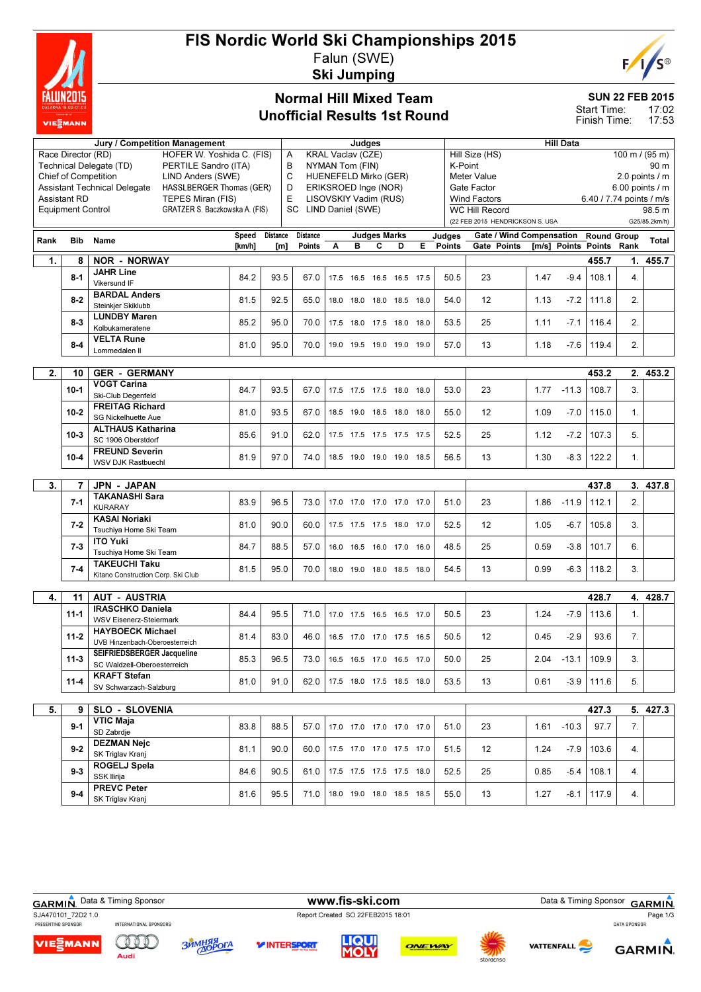

## FIS Nordic World Ski Championships 2015 Falun (SWE)

Ski Jumping



#### Normal Hill Mixed Team Unofficial Results 1st Round

#### SUN 22 FEB 2015

17:02 17:53 Start Time: Finish Time:

|                                                                 |                          | <b>Jury / Competition Management</b> |        | Judges         |                                                                |                       |                          |                     |   |                                 | <b>Hill Data</b> |                                  |      |               |                          |                  |                   |
|-----------------------------------------------------------------|--------------------------|--------------------------------------|--------|----------------|----------------------------------------------------------------|-----------------------|--------------------------|---------------------|---|---------------------------------|------------------|----------------------------------|------|---------------|--------------------------|------------------|-------------------|
| Race Director (RD)<br>HOFER W. Yoshida C. (FIS)                 |                          |                                      |        |                | KRAL Vaclav (CZE)<br>Α<br>NYMAN Tom (FIN)                      |                       |                          |                     |   |                                 |                  | Hill Size (HS)<br>100 m / (95 m) |      |               |                          |                  |                   |
| Technical Delegate (TD)<br>PERTILE Sandro (ITA)                 |                          |                                      |        |                | В                                                              |                       |                          |                     |   |                                 |                  | K-Point<br>90 m                  |      |               |                          |                  |                   |
| <b>Chief of Competition</b><br>LIND Anders (SWE)                |                          |                                      |        |                | C<br><b>HUENEFELD Mirko (GER)</b><br>D<br>ERIKSROED Inge (NOR) |                       |                          |                     |   | Meter Value<br>2.0 points $/$ m |                  |                                  |      |               |                          |                  |                   |
| <b>Assistant Technical Delegate</b><br>HASSLBERGER Thomas (GER) |                          |                                      |        |                |                                                                |                       |                          |                     |   |                                 |                  | Gate Factor                      |      |               |                          |                  | $6.00$ points / m |
|                                                                 | <b>Assistant RD</b>      | TEPES Miran (FIS)                    |        |                | E                                                              | LISOVSKIY Vadim (RUS) |                          |                     |   |                                 |                  | <b>Wind Factors</b>              |      |               | 6.40 / 7.74 points / m/s |                  |                   |
|                                                                 | <b>Equipment Control</b> | GRATZER S. Baczkowska A. (FIS)       |        |                | SC LIND Daniel (SWE)                                           |                       |                          |                     |   |                                 |                  | <b>WC Hill Record</b>            |      |               |                          |                  | 98.5 m            |
|                                                                 |                          |                                      |        |                |                                                                |                       |                          |                     |   |                                 |                  | (22 FEB 2015 HENDRICKSON S. USA  |      |               |                          |                  | G25/85.2km/h)     |
|                                                                 |                          |                                      |        | Speed Distance | <b>Distance</b>                                                |                       |                          | <b>Judges Marks</b> |   |                                 | Judges           | Gate / Wind Compensation         |      |               | <b>Round Group</b>       |                  |                   |
| Rank                                                            | <b>Bib</b>               | <b>Name</b>                          | [km/h] | [m]            | <b>Points</b>                                                  | Α                     | в                        | C                   | D | E.                              | <b>Points</b>    | Gate Points                      |      |               | [m/s] Points Points Rank |                  | Total             |
| 1.                                                              | 8                        | <b>NOR - NORWAY</b>                  |        |                |                                                                |                       |                          |                     |   |                                 |                  |                                  |      |               | 455.7                    | 1.               | 455.7             |
|                                                                 |                          | <b>JAHR Line</b>                     |        |                |                                                                |                       |                          |                     |   |                                 |                  |                                  |      |               |                          |                  |                   |
|                                                                 | $8 - 1$                  | <b>Vikersund IF</b>                  | 84.2   | 93.5           | 67.0                                                           | 17.5                  | 16.5 16.5 16.5 17.5      |                     |   |                                 | 50.5             | 23                               | 1.47 | $-9.4$        | 108.1                    | $\overline{4}$ . |                   |
|                                                                 |                          | <b>BARDAL Anders</b>                 |        |                |                                                                |                       |                          |                     |   |                                 |                  |                                  |      |               |                          |                  |                   |
|                                                                 | $8 - 2$                  | Steinkjer Skiklubb                   | 81.5   | 92.5           | 65.0                                                           | 18.0                  | 18.0 18.0 18.5 18.0      |                     |   |                                 | 54.0             | 12                               | 1.13 | $-7.2$        | 111.8                    | 2.               |                   |
|                                                                 |                          | <b>LUNDBY Maren</b>                  |        |                |                                                                |                       |                          |                     |   |                                 |                  |                                  |      |               |                          |                  |                   |
|                                                                 | $8-3$                    | Kolbukameratene                      | 85.2   | 95.0           | 70.0                                                           |                       | 17.5 18.0 17.5 18.0 18.0 |                     |   |                                 | 53.5             | 25                               | 1.11 | $-7.1$        | 116.4                    | 2.               |                   |
|                                                                 |                          | <b>VELTA Rune</b>                    |        |                |                                                                |                       |                          |                     |   |                                 |                  |                                  |      |               |                          |                  |                   |
|                                                                 | $8-4$                    | Lommedalen II                        | 81.0   | 95.0           | 70.0                                                           |                       | 19.0 19.5 19.0 19.0 19.0 |                     |   |                                 | 57.0             | 13                               | 1.18 | $-7.6$        | 119.4                    | 2.               |                   |
|                                                                 |                          |                                      |        |                |                                                                |                       |                          |                     |   |                                 |                  |                                  |      |               |                          |                  |                   |
| 2.                                                              | 10                       | <b>GER - GERMANY</b>                 |        |                |                                                                |                       |                          |                     |   |                                 |                  |                                  |      |               | 453.2                    | 2.               | 453.2             |
|                                                                 |                          | <b>VOGT Carina</b>                   |        |                |                                                                |                       |                          |                     |   |                                 |                  |                                  |      |               |                          |                  |                   |
|                                                                 | $10 - 1$                 | Ski-Club Degenfeld                   | 84.7   | 93.5           | 67.0                                                           |                       | 17.5 17.5 17.5 18.0 18.0 |                     |   |                                 | 53.0             | 23                               | 1.77 | $-11.3$       | 108.7                    | 3.               |                   |
|                                                                 |                          | <b>FREITAG Richard</b>               |        |                |                                                                |                       |                          |                     |   |                                 |                  |                                  |      |               |                          |                  |                   |
|                                                                 | $10 - 2$                 | <b>SG Nickelhuette Aue</b>           | 81.0   | 93.5           | 67.0                                                           |                       | 18.5 19.0 18.5 18.0 18.0 |                     |   |                                 | 55.0             | 12                               | 1.09 | $-7.0$        | 115.0                    | $\mathbf{1}$ .   |                   |
|                                                                 |                          | <b>ALTHAUS Katharina</b>             |        |                |                                                                |                       |                          |                     |   |                                 |                  |                                  |      |               |                          |                  |                   |
|                                                                 | $10 - 3$                 | SC 1906 Oberstdorf                   | 85.6   | 91.0           | 62.0                                                           |                       | 17.5 17.5 17.5 17.5 17.5 |                     |   |                                 | 52.5             | 25                               | 1.12 | $-7.2$        | 107.3                    | 5.               |                   |
|                                                                 | $10 - 4$                 | <b>FREUND Severin</b>                | 81.9   | 97.0           | 74.0                                                           |                       |                          |                     |   |                                 | 56.5             | 13                               | 1.30 | $-8.3$        | 122.2                    | $\mathbf{1}$ .   |                   |
|                                                                 |                          | <b>WSV DJK Rastbuechl</b>            |        |                |                                                                |                       | 18.5 19.0 19.0 19.0 18.5 |                     |   |                                 |                  |                                  |      |               |                          |                  |                   |
|                                                                 |                          |                                      |        |                |                                                                |                       |                          |                     |   |                                 |                  |                                  |      |               |                          |                  |                   |
| 3.                                                              | 7                        | <b>JPN - JAPAN</b>                   |        |                |                                                                |                       |                          |                     |   |                                 |                  |                                  |      |               | 437.8                    | 3.               | 437.8             |
|                                                                 | $7 - 1$                  | <b>TAKANASHI Sara</b>                | 83.9   | 96.5           | 73.0                                                           | 17.0                  | 17.0 17.0 17.0 17.0      |                     |   |                                 | 51.0             | 23                               | 1.86 | $-11.9$       | 112.1                    | 2.               |                   |
|                                                                 |                          | <b>KURARAY</b>                       |        |                |                                                                |                       |                          |                     |   |                                 |                  |                                  |      |               |                          |                  |                   |
|                                                                 | $7 - 2$                  | <b>KASAI Noriaki</b>                 | 81.0   | 90.0           | 60.0                                                           |                       | 17.5 17.5 17.5 18.0 17.0 |                     |   |                                 | 52.5             | 12                               | 1.05 | $-6.7$        | 105.8                    | 3.               |                   |
|                                                                 |                          | Tsuchiya Home Ski Team               |        |                |                                                                |                       |                          |                     |   |                                 |                  |                                  |      |               |                          |                  |                   |
|                                                                 | $7 - 3$                  | <b>ITO Yuki</b>                      | 84.7   | 88.5           | 57.0                                                           |                       | 16.0 16.5 16.0 17.0 16.0 |                     |   |                                 | 48.5             | 25                               | 0.59 | $-3.8$        | 101.7                    | 6.               |                   |
|                                                                 |                          | Tsuchiya Home Ski Team               |        |                |                                                                |                       |                          |                     |   |                                 |                  |                                  |      |               |                          |                  |                   |
|                                                                 | $7 - 4$                  | <b>TAKEUCHI Taku</b>                 | 81.5   | 95.0           | 70.0                                                           |                       | 18.0 19.0 18.0 18.5 18.0 |                     |   |                                 | 54.5             | 13                               | 0.99 | $-6.3$        | 118.2                    | 3.               |                   |
|                                                                 |                          | Kitano Construction Corp. Ski Club   |        |                |                                                                |                       |                          |                     |   |                                 |                  |                                  |      |               |                          |                  |                   |
| 4.                                                              | 11                       | <b>AUT - AUSTRIA</b>                 |        |                |                                                                |                       |                          |                     |   |                                 |                  |                                  |      |               | 428.7                    | 4.               | 428.7             |
|                                                                 |                          | <b>IRASCHKO Daniela</b>              |        |                |                                                                |                       |                          |                     |   |                                 |                  |                                  |      |               |                          |                  |                   |
|                                                                 | $11 - 1$                 | <b>WSV Eisenerz-Steiermark</b>       | 84.4   | 95.5           | 71.0                                                           |                       | 17.0 17.5 16.5 16.5 17.0 |                     |   |                                 | 50.5             | 23                               | 1.24 | $-7.9$        | 113.6                    | $\mathbf{1}$ .   |                   |
|                                                                 |                          | <b>HAYBOECK Michael</b>              |        |                |                                                                |                       |                          |                     |   |                                 |                  |                                  |      |               |                          |                  |                   |
|                                                                 | $11 - 2$                 | UVB Hinzenbach-Oberoesterreich       | 81.4   | 83.0           | 46.0                                                           |                       | 16.5 17.0 17.0 17.5 16.5 |                     |   |                                 | 50.5             | 12                               | 0.45 | $-2.9$        | 93.6                     | 7.               |                   |
|                                                                 |                          | SEIFRIEDSBERGER Jacqueline           |        |                |                                                                |                       |                          |                     |   |                                 |                  |                                  |      |               |                          |                  |                   |
|                                                                 | $11-3$                   | SC Waldzell-Oberoesterreich          | 85.3   | 96.5           | 73.0                                                           |                       | 16.5 16.5 17.0 16.5 17.0 |                     |   |                                 | 50.0             | 25                               | 2.04 | $-13.1$       | 109.9                    | 3.               |                   |
|                                                                 |                          | <b>KRAFT Stefan</b>                  |        |                |                                                                |                       |                          |                     |   |                                 |                  |                                  |      |               |                          |                  |                   |
|                                                                 | $11 - 4$                 | SV Schwarzach-Salzburg               | 81.0   | 91.0           | 62.0                                                           |                       | 17.5 18.0 17.5 18.5 18.0 |                     |   |                                 | 53.5             | 13                               | 0.61 | $-3.9$        | 111.6                    | 5.               |                   |
|                                                                 |                          |                                      |        |                |                                                                |                       |                          |                     |   |                                 |                  |                                  |      |               |                          |                  |                   |
| 5.                                                              | 9                        | <b>SLO - SLOVENIA</b>                |        |                |                                                                |                       |                          |                     |   |                                 |                  |                                  |      |               | 427.3                    |                  | 5. 427.3          |
|                                                                 |                          | <b>VTIC Maja</b>                     |        |                |                                                                |                       |                          |                     |   |                                 |                  |                                  |      |               |                          |                  |                   |
|                                                                 | $9 - 1$                  | SD Zabrdje                           | 83.8   | 88.5           | 57.0                                                           |                       | 17.0 17.0 17.0 17.0 17.0 |                     |   |                                 | 51.0             | 23                               |      | $1.61 - 10.3$ | 97.7                     | 7.               |                   |
|                                                                 |                          | <b>DEZMAN Nejc</b>                   |        |                |                                                                |                       |                          |                     |   |                                 |                  |                                  |      |               |                          |                  |                   |
|                                                                 | $9-2$                    | SK Triglav Kranj                     | 81.1   | 90.0           | 60.0                                                           |                       | 17.5 17.0 17.0 17.5 17.0 |                     |   |                                 | 51.5             | 12 <sup>°</sup>                  | 1.24 | $-7.9$        | 103.6                    | $\overline{4}$ . |                   |
|                                                                 |                          | ROGELJ Spela                         |        |                |                                                                |                       |                          |                     |   |                                 |                  |                                  |      |               |                          |                  |                   |
|                                                                 | $9-3$                    | SSK Ilirija                          | 84.6   | 90.5           | 61.0                                                           |                       | 17.5 17.5 17.5 17.5 18.0 |                     |   |                                 | 52.5             | 25                               | 0.85 | $-5.4$        | 108.1                    | 4.               |                   |
|                                                                 |                          | <b>PREVC Peter</b>                   |        |                |                                                                |                       |                          |                     |   |                                 |                  |                                  |      |               |                          |                  |                   |
|                                                                 | $9-4$                    | SK Triglav Kranj                     | 81.6   | 95.5           | 71.0                                                           |                       | 18.0 19.0 18.0 18.5 18.5 |                     |   |                                 | 55.0             | 13                               | 1.27 | -8.1          | 117.9                    | 4.               |                   |

COOO

Audi

**ЗЙМНЯЯ**<br>ДОРОГА



**Y INTERSPORT** 





Page 1/3

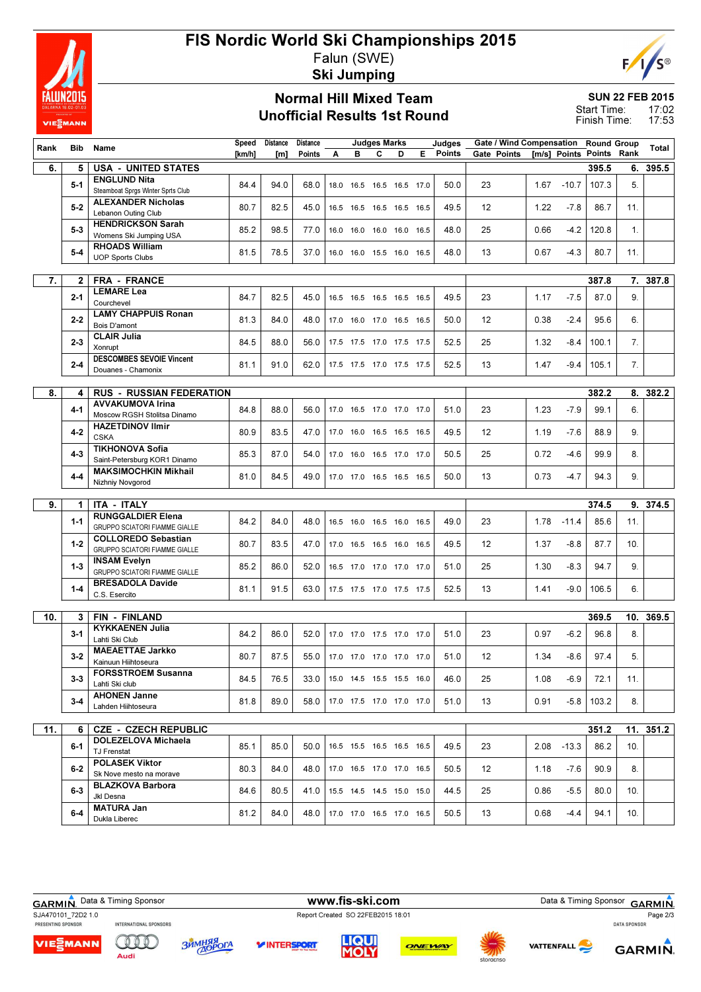

## FIS Nordic World Ski Championships 2015 Falun (SWE)

Ski Jumping

### Normal Hill Mixed Team Unofficial Results 1st Round

#### SUN 22 FEB 2015 17:02

F)

17:53 Start Time: Finish Time:

| Rank | <b>Bib</b> | Name                                                               | Speed  | <b>Distance</b> | <b>Distance</b> |   |                              | <b>Judges Marks</b> |   |   | Judges | Gate / Wind Compensation Round Group |      |               |                          |     | Total     |
|------|------------|--------------------------------------------------------------------|--------|-----------------|-----------------|---|------------------------------|---------------------|---|---|--------|--------------------------------------|------|---------------|--------------------------|-----|-----------|
|      |            |                                                                    | [km/h] | [m]             | Points          | A | в                            | C                   | D | Е | Points | Gate Points                          |      |               | [m/s] Points Points Rank |     |           |
| 6.   | 5          | <b>USA - UNITED STATES</b>                                         |        |                 |                 |   |                              |                     |   |   |        |                                      |      |               | 395.5                    | 6.  | 395.5     |
|      | $5 - 1$    | <b>ENGLUND Nita</b><br>Steamboat Sprgs Winter Sprts Club           | 84.4   | 94.0            | 68.0            |   | 18.0 16.5 16.5 16.5 17.0     |                     |   |   | 50.0   | 23                                   | 1.67 | $-10.7$       | 107.3                    | 5.  |           |
|      | $5 - 2$    | <b>ALEXANDER Nicholas</b><br>Lebanon Outing Club                   | 80.7   | 82.5            | 45.0            |   | 16.5 16.5 16.5 16.5 16.5     |                     |   |   | 49.5   | 12                                   | 1.22 | $-7.8$        | 86.7                     | 11. |           |
|      | $5 - 3$    | <b>HENDRICKSON Sarah</b><br>Womens Ski Jumping USA                 | 85.2   | 98.5            | 77.0            |   | 16.0 16.0 16.0 16.0 16.5     |                     |   |   | 48.0   | 25                                   | 0.66 | $-4.2$        | 120.8                    | 1.  |           |
|      | $5 - 4$    | <b>RHOADS William</b><br><b>UOP Sports Clubs</b>                   | 81.5   | 78.5            | 37.0            |   | 16.0 16.0 15.5 16.0 16.5     |                     |   |   | 48.0   | 13                                   | 0.67 | $-4.3$        | 80.7                     | 11. |           |
|      |            |                                                                    |        |                 |                 |   |                              |                     |   |   |        |                                      |      |               |                          |     |           |
| 7.   | 2          | FRA - FRANCE                                                       |        |                 |                 |   |                              |                     |   |   |        |                                      |      |               | 387.8                    | 7.  | 387.8     |
|      | $2 - 1$    | <b>LEMARE Lea</b><br>Courchevel                                    | 84.7   | 82.5            | 45.0            |   | 16.5 16.5 16.5 16.5 16.5     |                     |   |   | 49.5   | 23                                   | 1.17 | $-7.5$        | 87.0                     | 9.  |           |
|      | $2 - 2$    | <b>LAMY CHAPPUIS Ronan</b><br><b>Bois D'amont</b>                  | 81.3   | 84.0            | 48.0            |   | 17.0 16.0 17.0 16.5 16.5     |                     |   |   | 50.0   | 12                                   | 0.38 | $-2.4$        | 95.6                     | 6.  |           |
|      | $2 - 3$    | <b>CLAIR Julia</b><br>Xonrupt                                      | 84.5   | 88.0            | 56.0            |   | 17.5 17.5 17.0 17.5 17.5     |                     |   |   | 52.5   | 25                                   | 1.32 | $-8.4$        | 100.1                    | 7.  |           |
|      | $2 - 4$    | <b>DESCOMBES SEVOIE Vincent</b><br>Douanes - Chamonix              | 81.1   | 91.0            | 62.0            |   | 17.5 17.5 17.0 17.5 17.5     |                     |   |   | 52.5   | 13                                   | 1.47 | $-9.4$        | 105.1                    | 7.  |           |
|      |            |                                                                    |        |                 |                 |   |                              |                     |   |   |        |                                      |      |               |                          |     |           |
| 8.   | 4          | <b>RUS - RUSSIAN FEDERATION</b><br><b>AVVAKUMOVA Irina</b>         |        |                 |                 |   |                              |                     |   |   |        |                                      |      |               | 382.2                    | 8.  | 382.2     |
|      | $4 - 1$    | Moscow RGSH Stolitsa Dinamo<br><b>HAZETDINOV Ilmir</b>             | 84.8   | 88.0            | 56.0            |   | 17.0  16.5  17.0  17.0  17.0 |                     |   |   | 51.0   | 23                                   | 1.23 | $-7.9$        | 99.1                     | 6.  |           |
|      | $4 - 2$    | <b>CSKA</b>                                                        | 80.9   | 83.5            | 47.0            |   | 17.0 16.0 16.5 16.5 16.5     |                     |   |   | 49.5   | 12                                   | 1.19 | $-7.6$        | 88.9                     | 9.  |           |
|      | $4 - 3$    | <b>TIKHONOVA Sofia</b><br>Saint-Petersburg KOR1 Dinamo             | 85.3   | 87.0            | 54.0            |   | 17.0 16.0 16.5 17.0 17.0     |                     |   |   | 50.5   | 25                                   | 0.72 | -4.6          | 99.9                     | 8.  |           |
|      | 4-4        | <b>MAKSIMOCHKIN Mikhail</b><br>Nizhniy Novgorod                    | 81.0   | 84.5            | 49.0            |   | 17.0 17.0 16.5 16.5 16.5     |                     |   |   | 50.0   | 13                                   | 0.73 | -4.7          | 94.3                     | 9.  |           |
| 9.   | 1          | <b>ITA - ITALY</b>                                                 |        |                 |                 |   |                              |                     |   |   |        |                                      |      |               | 374.5                    | 9.  | 374.5     |
|      | $1 - 1$    | <b>RUNGGALDIER Elena</b><br><b>GRUPPO SCIATORI FIAMME GIALLE</b>   | 84.2   | 84.0            | 48.0            |   | 16.5 16.0 16.5 16.0 16.5     |                     |   |   | 49.0   | 23                                   | 1.78 | $-11.4$       | 85.6                     | 11. |           |
|      | $1 - 2$    | <b>COLLOREDO Sebastian</b><br><b>GRUPPO SCIATORI FIAMME GIALLE</b> | 80.7   | 83.5            | 47.0            |   | 17.0 16.5 16.5 16.0 16.5     |                     |   |   | 49.5   | 12                                   | 1.37 | -8.8          | 87.7                     | 10. |           |
|      | $1 - 3$    | <b>INSAM Evelyn</b><br><b>GRUPPO SCIATORI FIAMME GIALLE</b>        | 85.2   | 86.0            | 52.0            |   | 16.5 17.0 17.0 17.0 17.0     |                     |   |   | 51.0   | 25                                   | 1.30 | -8.3          | 94.7                     | 9.  |           |
|      | $1 - 4$    | <b>BRESADOLA Davide</b>                                            | 81.1   | 91.5            | 63.0            |   | 17.5 17.5 17.0 17.5 17.5     |                     |   |   | 52.5   | 13                                   | 1.41 | -9.0          | 106.5                    | 6.  |           |
|      |            | C.S. Esercito                                                      |        |                 |                 |   |                              |                     |   |   |        |                                      |      |               |                          |     |           |
| 10.  | 3          | <b>FIN - FINLAND</b>                                               |        |                 |                 |   |                              |                     |   |   |        |                                      |      |               | 369.5                    | 10. | 369.5     |
|      | $3 - 1$    | <b>KYKKAENEN Julia</b><br>Lahti Ski Club                           | 84.2   | 86.0            | 52.0            |   | 17.0 17.0 17.5 17.0 17.0     |                     |   |   | 51.0   | 23                                   | 0.97 | $-6.2$        | 96.8                     | 8.  |           |
|      | $3 - 2$    | <b>MAEAETTAE Jarkko</b><br>Kainuun Hiihtoseura                     | 80.7   | 87.5            | 55.0            |   | 17.0 17.0 17.0 17.0 17.0     |                     |   |   | 51.0   | 12                                   | 1.34 | -8.6          | 97.4                     | 5.  |           |
|      | $3 - 3$    | <b>FORSSTROEM Susanna</b><br>Lahti Ski club                        | 84.5   | 76.5            | 33.0            |   | 15.0 14.5 15.5 15.5 16.0     |                     |   |   | 46.0   | 25                                   | 1.08 | -6.9          | 72.1                     | 11. |           |
|      | $3-4$      | <b>AHONEN Janne</b><br>Lahden Hiihtoseura                          | 81.8   | 89.0            | 58.0            |   | 17.0 17.5 17.0 17.0 17.0     |                     |   |   | 51.0   | 13                                   | 0.91 | $-5.8$        | 103.2                    | 8.  |           |
|      |            |                                                                    |        |                 |                 |   |                              |                     |   |   |        |                                      |      |               |                          |     |           |
| 11.  | 6          | <b>CZE - CZECH REPUBLIC</b>                                        |        |                 |                 |   |                              |                     |   |   |        |                                      |      |               | 351.2                    |     | 11. 351.2 |
|      | $6 - 1$    | DOLEZELOVA Michaela<br><b>TJ Frenstat</b>                          | 85.1   | 85.0            | 50.0            |   | 16.5 15.5 16.5 16.5 16.5     |                     |   |   | 49.5   | 23                                   |      | $2.08 - 13.3$ | 86.2                     | 10. |           |
|      | $6-2$      | <b>POLASEK Viktor</b><br>Sk Nove mesto na morave                   | 80.3   | 84.0            | 48.0            |   | 17.0 16.5 17.0 17.0 16.5     |                     |   |   | 50.5   | 12                                   | 1.18 | $-7.6$        | 90.9                     | 8.  |           |
|      | $6 - 3$    | <b>BLAZKOVA Barbora</b><br>Jkl Desna                               | 84.6   | 80.5            | 41.0            |   | 15.5 14.5 14.5 15.0 15.0     |                     |   |   | 44.5   | 25                                   | 0.86 | $-5.5$        | 80.0                     | 10. |           |
|      | $6 - 4$    | <b>MATURA Jan</b><br>Dukla Liberec                                 | 81.2   | 84.0            | 48.0            |   | 17.0 17.0 16.5 17.0 16.5     |                     |   |   | 50.5   | 13                                   | 0.68 | -4.4          | 94.1                     | 10. |           |

GARMIN. Data & Timing Sponsor **www.fis-ski.com** Data & Timing Sponsor GARMIN.

SJA470101\_72D2 1.0<br>
PRESENTING SPONSOR INTERNATIONAL SPONSORS<br>
PRESENTING SPONSOR INTERNATIONAL SPONSORS

VIE<sub>E</sub>MANN



*V***INTERSPORT** 







Page 2/3<br>Page 2/3